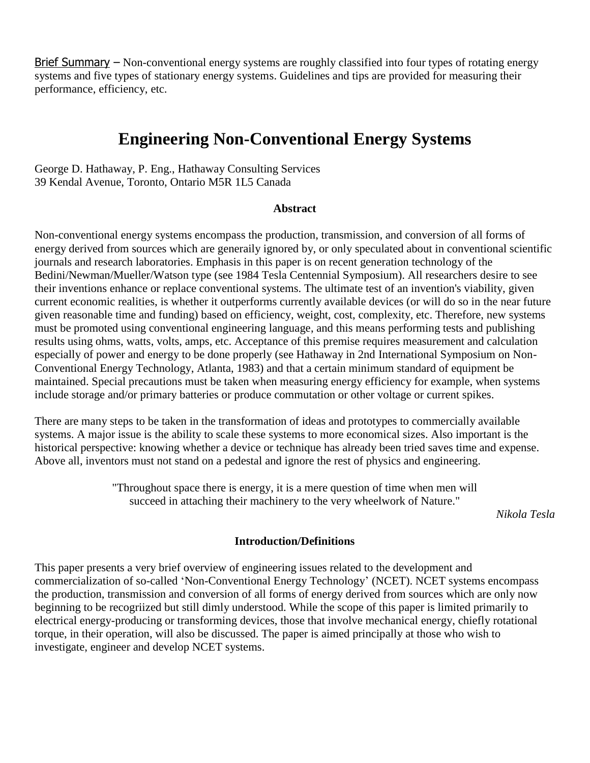Brief Summary – Non-conventional energy systems are roughly classified into four types of rotating energy systems and five types of stationary energy systems. Guidelines and tips are provided for measuring their performance, efficiency, etc.

# **Engineering Non-Conventional Energy Systems**

George D. Hathaway, P. Eng., Hathaway Consulting Services 39 Kendal Avenue, Toronto, Ontario M5R 1L5 Canada

#### **Abstract**

Non-conventional energy systems encompass the production, transmission, and conversion of all forms of energy derived from sources which are generaily ignored by, or only speculated about in conventional scientific journals and research laboratories. Emphasis in this paper is on recent generation technology of the Bedini/Newman/Mueller/Watson type (see 1984 Tesla Centennial Symposium). All researchers desire to see their inventions enhance or replace conventional systems. The ultimate test of an invention's viability, given current economic realities, is whether it outperforms currently available devices (or will do so in the near future given reasonable time and funding) based on efficiency, weight, cost, complexity, etc. Therefore, new systems must be promoted using conventional engineering language, and this means performing tests and publishing results using ohms, watts, volts, amps, etc. Acceptance of this premise requires measurement and calculation especially of power and energy to be done properly (see Hathaway in 2nd International Symposium on Non-Conventional Energy Technology, Atlanta, 1983) and that a certain minimum standard of equipment be maintained. Special precautions must be taken when measuring energy efficiency for example, when systems include storage and/or primary batteries or produce commutation or other voltage or current spikes.

There are many steps to be taken in the transformation of ideas and prototypes to commercially available systems. A major issue is the ability to scale these systems to more economical sizes. Also important is the historical perspective: knowing whether a device or technique has already been tried saves time and expense. Above all, inventors must not stand on a pedestal and ignore the rest of physics and engineering.

> "Throughout space there is energy, it is a mere question of time when men will succeed in attaching their machinery to the very wheelwork of Nature."

> > *Nikola Tesla*

#### **Introduction/Definitions**

This paper presents a very brief overview of engineering issues related to the development and commercialization of so-called 'Non-Conventional Energy Technology' (NCET). NCET systems encompass the production, transmission and conversion of all forms of energy derived from sources which are only now beginning to be recogriized but still dimly understood. While the scope of this paper is limited primarily to electrical energy-producing or transforming devices, those that involve mechanical energy, chiefly rotational torque, in their operation, will also be discussed. The paper is aimed principally at those who wish to investigate, engineer and develop NCET systems.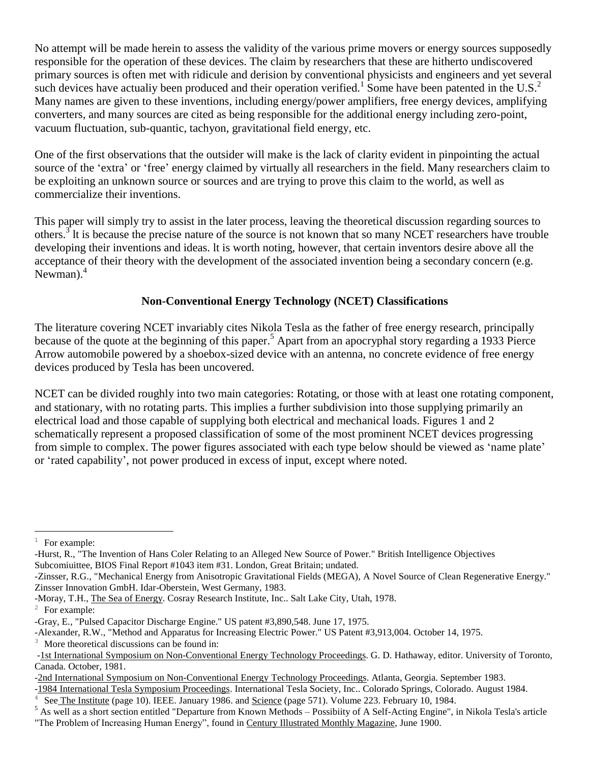No attempt will be made herein to assess the validity of the various prime movers or energy sources supposedly responsible for the operation of these devices. The claim by researchers that these are hitherto undiscovered primary sources is often met with ridicule and derision by conventional physicists and engineers and yet several such devices have actualiy been produced and their operation verified.<sup>1</sup> Some have been patented in the U.S.<sup>2</sup> Many names are given to these inventions, including energy/power amplifiers, free energy devices, amplifying converters, and many sources are cited as being responsible for the additional energy including zero-point, vacuum fluctuation, sub-quantic, tachyon, gravitational field energy, etc.

One of the first observations that the outsider will make is the lack of clarity evident in pinpointing the actual source of the 'extra' or 'free' energy claimed by virtually all researchers in the field. Many researchers claim to be exploiting an unknown source or sources and are trying to prove this claim to the world, as well as commercialize their inventions.

This paper will simply try to assist in the later process, leaving the theoretical discussion regarding sources to others.<sup>3</sup> It is because the precise nature of the source is not known that so many NCET researchers have trouble developing their inventions and ideas. lt is worth noting, however, that certain inventors desire above all the acceptance of their theory with the development of the associated invention being a secondary concern (e.g. Newman).<sup>4</sup>

# **Non-Conventional Energy Technology (NCET) Classifications**

The literature covering NCET invariably cites Nikola Tesla as the father of free energy research, principally because of the quote at the beginning of this paper.<sup>5</sup> Apart from an apocryphal story regarding a 1933 Pierce Arrow automobile powered by a shoebox-sized device with an antenna, no concrete evidence of free energy devices produced by Tesla has been uncovered.

NCET can be divided roughly into two main categories: Rotating, or those with at least one rotating component, and stationary, with no rotating parts. This implies a further subdivision into those supplying primarily an electrical load and those capable of supplying both electrical and mechanical loads. Figures 1 and 2 schematically represent a proposed classification of some of the most prominent NCET devices progressing from simple to complex. The power figures associated with each type below should be viewed as 'name plate' or 'rated capability', not power produced in excess of input, except where noted.

- -Moray, T.H., The Sea of Energy. Cosray Research Institute, Inc.. Salt Lake City, Utah, 1978.
- For example:

<sup>&</sup>lt;sup>1</sup> For example:

<sup>-</sup>Hurst, R., "The Invention of Hans Coler Relating to an Alleged New Source of Power." British Intelligence Objectives Subcomiuittee, BIOS Final Report #1043 item #31. London, Great Britain; undated.

<sup>-</sup>Zinsser, R.G., "Mechanical Energy from Anisotropic Gravitational Fields (MEGA), A Novel Source of Clean Regenerative Energy." Zinsser Innovation GmbH. Idar-Oberstein, West Germany, 1983.

<sup>-</sup>Gray, E., "Pulsed Capacitor Discharge Engine." US patent #3,890,548. June 17, 1975.

<sup>-</sup>Alexander, R.W., "Method and Apparatus for Increasing Electric Power." US Patent #3,913,004. October 14, 1975.

<sup>&</sup>lt;sup>3</sup> More theoretical discussions can be found in:

<sup>-1</sup>st International Symposium on Non-Conventional Energy Technology Proceedings. G. D. Hathaway, editor. University of Toronto, Canada. October, 1981.

<sup>-2</sup>nd International Symposium on Non-Conventional Energy Technology Proceedings. Atlanta, Georgia. September 1983.

<sup>-1984</sup> International Tesla Symposium Proceedings. International Tesla Society, Inc.. Colorado Springs, Colorado. August 1984.

See The Institute (page 10). IEEE. January 1986. and Science (page 571). Volume 223. February 10, 1984.

 $<sup>5</sup>$  As well as a short section entitled "Departure from Known Methods – Possibiity of A Self-Acting Engine", in Nikola Tesla's article</sup> "The Problem of Increasing Human Energy", found in Century Illustrated Monthly Magazine, June 1900.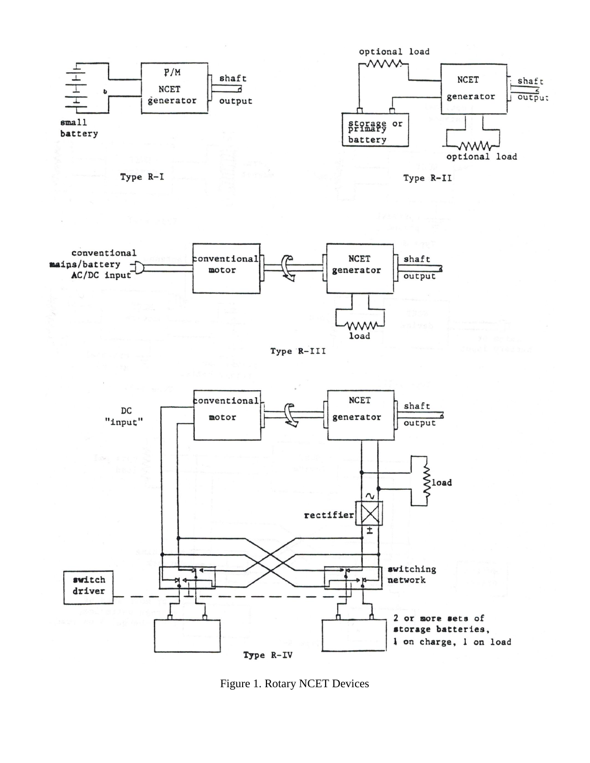



Type R-I









Figure 1. Rotary NCET Devices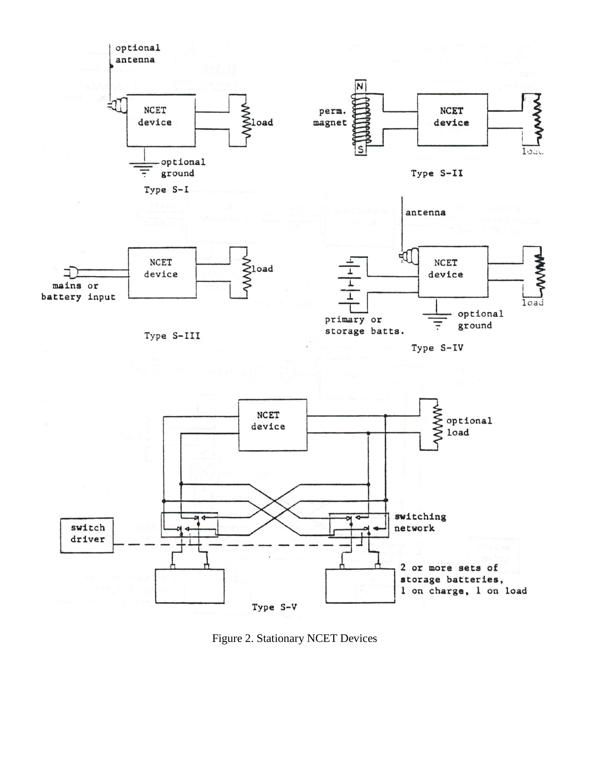



Figure 2. Stationary NCET Devices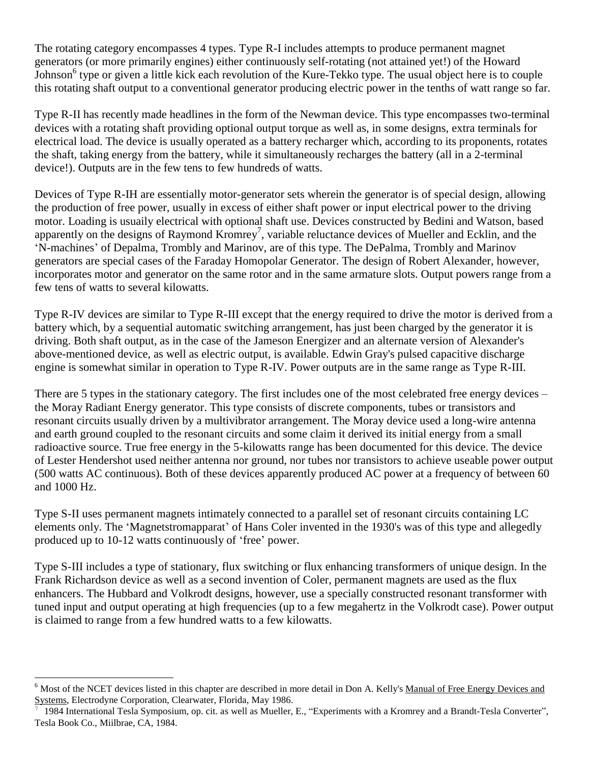The rotating category encompasses 4 types. Type R-I includes attempts to produce permanent magnet generators (or more primarily engines) either continuously self-rotating (not attained yet!) of the Howard Johnson<sup>6</sup> type or given a little kick each revolution of the Kure-Tekko type. The usual object here is to couple this rotating shaft output to a conventional generator producing electric power in the tenths of watt range so far.

Type R-II has recently made headlines in the form of the Newman device. This type encompasses two-terminal devices with a rotating shaft providing optional output torque as well as, in some designs, extra terminals for electrical load. The device is usually operated as a battery recharger which, according to its proponents, rotates the shaft, taking energy from the battery, while it simultaneously recharges the battery (all in a 2-terminal device!). Outputs are in the few tens to few hundreds of watts.

Devices of Type R-IH are essentially motor-generator sets wherein the generator is of special design, allowing the production of free power, usually in excess of either shaft power or input electrical power to the driving motor. Loading is usuaily electrical with optional shaft use. Devices constructed by Bedini and Watson, based apparently on the designs of Raymond Kromrey<sup>7</sup>, variable reluctance devices of Mueller and Ecklin, and the 'N-machines' of Depalma, Trombly and Marinov, are of this type. The DePalma, Trombly and Marinov generators are special cases of the Faraday Homopolar Generator. The design of Robert Alexander, however, incorporates motor and generator on the same rotor and in the same armature slots. Output powers range from a few tens of watts to several kilowatts.

Type R-IV devices are similar to Type R-III except that the energy required to drive the motor is derived from a battery which, by a sequential automatic switching arrangement, has just been charged by the generator it is driving. Both shaft output, as in the case of the Jameson Energizer and an alternate version of Alexander's above-mentioned device, as well as electric output, is available. Edwin Gray's pulsed capacitive discharge engine is somewhat similar in operation to Type R-IV. Power outputs are in the same range as Type R-III.

There are 5 types in the stationary category. The first includes one of the most celebrated free energy devices – the Moray Radiant Energy generator. This type consists of discrete components, tubes or transistors and resonant circuits usually driven by a multivibrator arrangement. The Moray device used a long-wire antenna and earth ground coupled to the resonant circuits and some claim it derived its initial energy from a small radioactive source. True free energy in the 5-kilowatts range has been documented for this device. The device of Lester Hendershot used neither antenna nor ground, nor tubes nor transistors to achieve useable power output (500 watts AC continuous). Both of these devices apparently produced AC power at a frequency of between 60 and 1000 Hz.

Type S-II uses permanent magnets intimately connected to a parallel set of resonant circuits containing LC elements only. The 'Magnetstromapparat' of Hans Coler invented in the 1930's was of this type and allegedly produced up to 10-12 watts continuously of 'free' power.

Type S-III includes a type of stationary, flux switching or flux enhancing transformers of unique design. In the Frank Richardson device as well as a second invention of Coler, permanent magnets are used as the flux enhancers. The Hubbard and Volkrodt designs, however, use a specially constructed resonant transformer with tuned input and output operating at high frequencies (up to a few megahertz in the Volkrodt case). Power output is claimed to range from a few hundred watts to a few kilowatts.

<sup>&</sup>lt;sup>6</sup> Most of the NCET devices listed in this chapter are described in more detail in Don A. Kelly's Manual of Free Energy Devices and Systems, Electrodyne Corporation, Clearwater, Florida, May 1986.

<sup>7</sup> 1984 International Tesla Symposium, op. cit. as well as Mueller, E., "Experiments with a Kromrey and a Brandt-Tesla Converter", Tesla Book Co., Miilbrae, CA, 1984.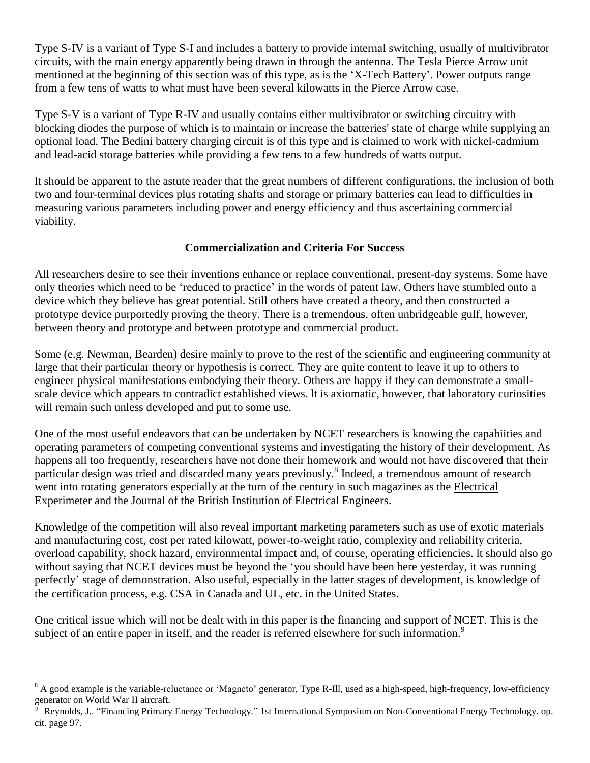Type S-IV is a variant of Type S-I and includes a battery to provide internal switching, usually of multivibrator circuits, with the main energy apparently being drawn in through the antenna. The Tesla Pierce Arrow unit mentioned at the beginning of this section was of this type, as is the 'X-Tech Battery'. Power outputs range from a few tens of watts to what must have been several kilowatts in the Pierce Arrow case.

Type S-V is a variant of Type R-IV and usually contains either multivibrator or switching circuitry with blocking diodes the purpose of which is to maintain or increase the batteries' state of charge while supplying an optional load. The Bedini battery charging circuit is of this type and is claimed to work with nickel-cadmium and lead-acid storage batteries while providing a few tens to a few hundreds of watts output.

lt should be apparent to the astute reader that the great numbers of different configurations, the inclusion of both two and four-terminal devices plus rotating shafts and storage or primary batteries can lead to difficulties in measuring various parameters including power and energy efficiency and thus ascertaining commercial viability.

# **Commercialization and Criteria For Success**

All researchers desire to see their inventions enhance or replace conventional, present-day systems. Some have only theories which need to be 'reduced to practice' in the words of patent law. Others have stumbled onto a device which they believe has great potential. Still others have created a theory, and then constructed a prototype device purportedly proving the theory. There is a tremendous, often unbridgeable gulf, however, between theory and prototype and between prototype and commercial product.

Some (e.g. Newman, Bearden) desire mainly to prove to the rest of the scientific and engineering community at large that their particular theory or hypothesis is correct. They are quite content to leave it up to others to engineer physical manifestations embodying their theory. Others are happy if they can demonstrate a smallscale device which appears to contradict established views. lt is axiomatic, however, that laboratory curiosities will remain such unless developed and put to some use.

One of the most useful endeavors that can be undertaken by NCET researchers is knowing the capabiities and operating parameters of competing conventional systems and investigating the history of their development. As happens all too frequently, researchers have not done their homework and would not have discovered that their particular design was tried and discarded many years previously.<sup>8</sup> Indeed, a tremendous amount of research went into rotating generators especially at the turn of the century in such magazines as the Electrical Experimeter and the Journal of the British Institution of Electrical Engineers.

Knowledge of the competition will also reveal important marketing parameters such as use of exotic materials and manufacturing cost, cost per rated kilowatt, power-to-weight ratio, complexity and reliability criteria, overload capability, shock hazard, environmental impact and, of course, operating efficiencies. lt should also go without saying that NCET devices must be beyond the 'you should have been here yesterday, it was running perfectly' stage of demonstration. Also useful, especially in the latter stages of development, is knowledge of the certification process, e.g. CSA in Canada and UL, etc. in the United States.

One critical issue which will not be dealt with in this paper is the financing and support of NCET. This is the subject of an entire paper in itself, and the reader is referred elsewhere for such information.<sup>9</sup>

<sup>&</sup>lt;sup>8</sup> A good example is the variable-reluctance or 'Magneto' generator, Type R-Ill, used as a high-speed, high-frequency, low-efficiency generator on World War II aircraft.

<sup>9</sup> Reynolds, J.. "Financing Primary Energy Technology." 1st International Symposium on Non-Conventional Energy Technology. op. cit. page 97.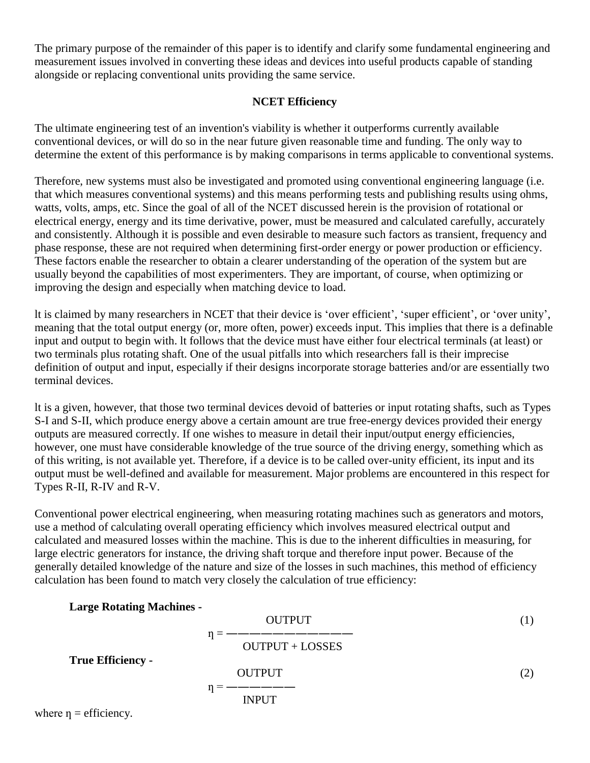The primary purpose of the remainder of this paper is to identify and clarify some fundamental engineering and measurement issues involved in converting these ideas and devices into useful products capable of standing alongside or replacing conventional units providing the same service.

## **NCET Efficiency**

The ultimate engineering test of an invention's viability is whether it outperforms currently available conventional devices, or will do so in the near future given reasonable time and funding. The only way to determine the extent of this performance is by making comparisons in terms applicable to conventional systems.

Therefore, new systems must also be investigated and promoted using conventional engineering language (i.e. that which measures conventional systems) and this means performing tests and publishing results using ohms, watts, volts, amps, etc. Since the goal of all of the NCET discussed herein is the provision of rotational or electrical energy, energy and its time derivative, power, must be measured and calculated carefully, accurately and consistently. Although it is possible and even desirable to measure such factors as transient, frequency and phase response, these are not required when determining first-order energy or power production or efficiency. These factors enable the researcher to obtain a clearer understanding of the operation of the system but are usually beyond the capabilities of most experimenters. They are important, of course, when optimizing or improving the design and especially when matching device to load.

lt is claimed by many researchers in NCET that their device is 'over efficient', 'super efficient', or 'over unity', meaning that the total output energy (or, more often, power) exceeds input. This implies that there is a definable input and output to begin with. lt follows that the device must have either four electrical terminals (at least) or two terminals plus rotating shaft. One of the usual pitfalls into which researchers fall is their imprecise definition of output and input, especially if their designs incorporate storage batteries and/or are essentially two terminal devices.

lt is a given, however, that those two terminal devices devoid of batteries or input rotating shafts, such as Types S-I and S-II, which produce energy above a certain amount are true free-energy devices provided their energy outputs are measured correctly. If one wishes to measure in detail their input/output energy efficiencies, however, one must have considerable knowledge of the true source of the driving energy, something which as of this writing, is not available yet. Therefore, if a device is to be called over-unity efficient, its input and its output must be well-defined and available for measurement. Major problems are encountered in this respect for Types R-II, R-IV and R-V.

Conventional power electrical engineering, when measuring rotating machines such as generators and motors, use a method of calculating overall operating efficiency which involves measured electrical output and calculated and measured losses within the machine. This is due to the inherent difficulties in measuring, for large electric generators for instance, the driving shaft torque and therefore input power. Because of the generally detailed knowledge of the nature and size of the losses in such machines, this method of efficiency calculation has been found to match very closely the calculation of true efficiency:

## **Large Rotating Machines -**

| $\eta = \frac{OUTPUT}{OUTPUT + LossES}$ | (1)             |     |
|-----------------------------------------|-----------------|-----|
| <b>True Efficiency -</b>                | OUTPUT + LossES | (2) |
| $\eta = \frac{OUTPUT}{INTUT}$           | (2)             |     |

where  $\eta$  = efficiency.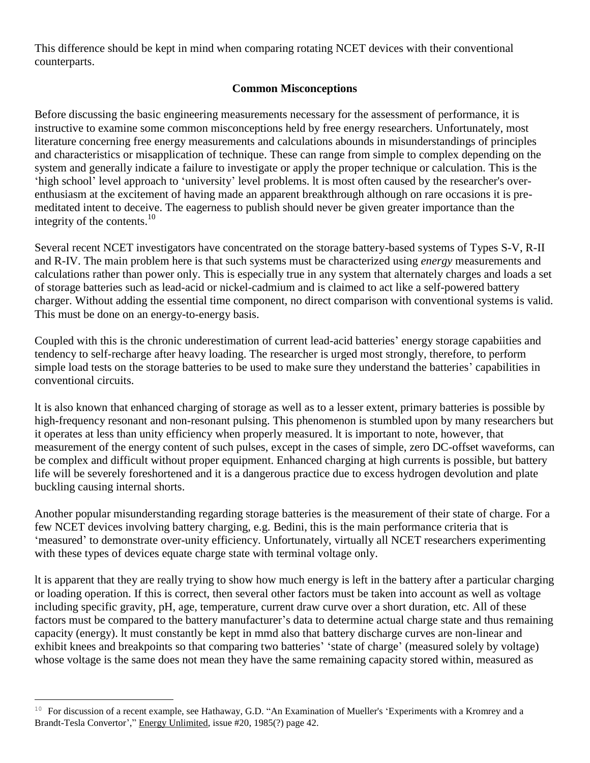This difference should be kept in mind when comparing rotating NCET devices with their conventional counterparts.

# **Common Misconceptions**

Before discussing the basic engineering measurements necessary for the assessment of performance, it is instructive to examine some common misconceptions held by free energy researchers. Unfortunately, most literature concerning free energy measurements and calculations abounds in misunderstandings of principles and characteristics or misapplication of technique. These can range from simple to complex depending on the system and generally indicate a failure to investigate or apply the proper technique or calculation. This is the 'high school' level approach to 'university' level problems. lt is most often caused by the researcher's overenthusiasm at the excitement of having made an apparent breakthrough although on rare occasions it is premeditated intent to deceive. The eagerness to publish should never be given greater importance than the integrity of the contents.<sup>10</sup>

Several recent NCET investigators have concentrated on the storage battery-based systems of Types S-V, R-II and R-IV. The main problem here is that such systems must be characterized using *energy* measurements and calculations rather than power only. This is especially true in any system that alternately charges and loads a set of storage batteries such as lead-acid or nickel-cadmium and is claimed to act like a self-powered battery charger. Without adding the essential time component, no direct comparison with conventional systems is valid. This must be done on an energy-to-energy basis.

Coupled with this is the chronic underestimation of current lead-acid batteries' energy storage capabiities and tendency to self-recharge after heavy loading. The researcher is urged most strongly, therefore, to perform simple load tests on the storage batteries to be used to make sure they understand the batteries' capabilities in conventional circuits.

lt is also known that enhanced charging of storage as well as to a lesser extent, primary batteries is possible by high-frequency resonant and non-resonant pulsing. This phenomenon is stumbled upon by many researchers but it operates at less than unity efficiency when properly measured. lt is important to note, however, that measurement of the energy content of such pulses, except in the cases of simple, zero DC-offset waveforms, can be complex and difficult without proper equipment. Enhanced charging at high currents is possible, but battery life will be severely foreshortened and it is a dangerous practice due to excess hydrogen devolution and plate buckling causing internal shorts.

Another popular misunderstanding regarding storage batteries is the measurement of their state of charge. For a few NCET devices involving battery charging, e.g. Bedini, this is the main performance criteria that is 'measured' to demonstrate over-unity efficiency. Unfortunately, virtually all NCET researchers experimenting with these types of devices equate charge state with terminal voltage only.

lt is apparent that they are really trying to show how much energy is left in the battery after a particular charging or loading operation. If this is correct, then several other factors must be taken into account as well as voltage including specific gravity, pH, age, temperature, current draw curve over a short duration, etc. All of these factors must be compared to the battery manufacturer's data to determine actual charge state and thus remaining capacity (energy). lt must constantly be kept in mmd also that battery discharge curves are non-linear and exhibit knees and breakpoints so that comparing two batteries' 'state of charge' (measured solely by voltage) whose voltage is the same does not mean they have the same remaining capacity stored within, measured as

 $10$  For discussion of a recent example, see Hathaway, G.D. "An Examination of Mueller's 'Experiments with a Kromrey and a Brandt-Tesla Convertor'," Energy Unlimited, issue #20, 1985(?) page 42.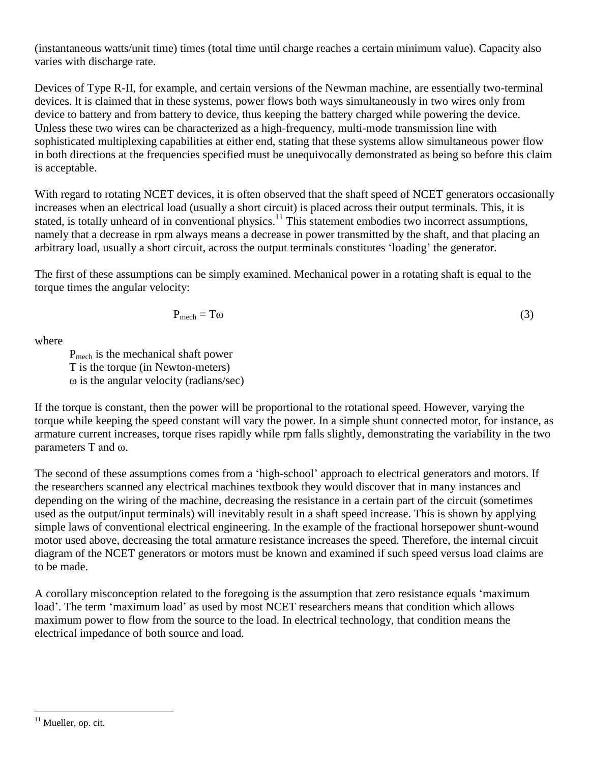(instantaneous watts/unit time) times (total time until charge reaches a certain minimum value). Capacity also varies with discharge rate.

Devices of Type R-II, for example, and certain versions of the Newman machine, are essentially two-terminal devices. lt is claimed that in these systems, power flows both ways simultaneously in two wires only from device to battery and from battery to device, thus keeping the battery charged while powering the device. Unless these two wires can be characterized as a high-frequency, multi-mode transmission line with sophisticated multiplexing capabilities at either end, stating that these systems allow simultaneous power flow in both directions at the frequencies specified must be unequivocally demonstrated as being so before this claim is acceptable.

With regard to rotating NCET devices, it is often observed that the shaft speed of NCET generators occasionally increases when an electrical load (usually a short circuit) is placed across their output terminals. This, it is stated, is totally unheard of in conventional physics.<sup>11</sup> This statement embodies two incorrect assumptions, namely that a decrease in rpm always means a decrease in power transmitted by the shaft, and that placing an arbitrary load, usually a short circuit, across the output terminals constitutes 'loading' the generator.

The first of these assumptions can be simply examined. Mechanical power in a rotating shaft is equal to the torque times the angular velocity:

$$
P_{\text{mech}} = T\omega \tag{3}
$$

where

P<sub>mech</sub> is the mechanical shaft power T is the torque (in Newton-meters) ω is the angular velocity (radians/sec)

If the torque is constant, then the power will be proportional to the rotational speed. However, varying the torque while keeping the speed constant will vary the power. In a simple shunt connected motor, for instance, as armature current increases, torque rises rapidly while rpm falls slightly, demonstrating the variability in the two parameters T and ω.

The second of these assumptions comes from a 'high-school' approach to electrical generators and motors. If the researchers scanned any electrical machines textbook they would discover that in many instances and depending on the wiring of the machine, decreasing the resistance in a certain part of the circuit (sometimes used as the output/input terminals) will inevitably result in a shaft speed increase. This is shown by applying simple laws of conventional electrical engineering. In the example of the fractional horsepower shunt-wound motor used above, decreasing the total armature resistance increases the speed. Therefore, the internal circuit diagram of the NCET generators or motors must be known and examined if such speed versus load claims are to be made.

A corollary misconception related to the foregoing is the assumption that zero resistance equals 'maximum load'. The term 'maximum load' as used by most NCET researchers means that condition which allows maximum power to flow from the source to the load. In electrical technology, that condition means the electrical impedance of both source and load.

 $11$  Mueller, op. cit.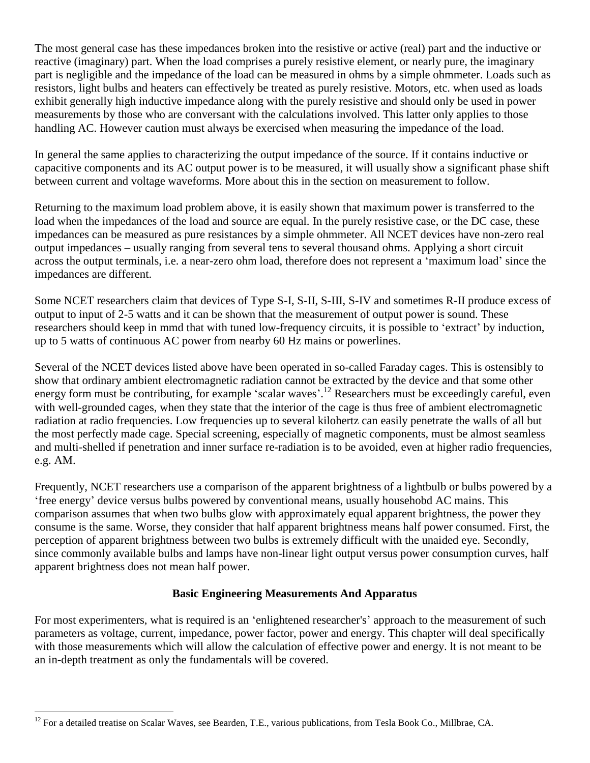The most general case has these impedances broken into the resistive or active (real) part and the inductive or reactive (imaginary) part. When the load comprises a purely resistive element, or nearly pure, the imaginary part is negligible and the impedance of the load can be measured in ohms by a simple ohmmeter. Loads such as resistors, light bulbs and heaters can effectively be treated as purely resistive. Motors, etc. when used as loads exhibit generally high inductive impedance along with the purely resistive and should only be used in power measurements by those who are conversant with the calculations involved. This latter only applies to those handling AC. However caution must always be exercised when measuring the impedance of the load.

In general the same applies to characterizing the output impedance of the source. If it contains inductive or capacitive components and its AC output power is to be measured, it will usually show a significant phase shift between current and voltage waveforms. More about this in the section on measurement to follow.

Returning to the maximum load problem above, it is easily shown that maximum power is transferred to the load when the impedances of the load and source are equal. In the purely resistive case, or the DC case, these impedances can be measured as pure resistances by a simple ohmmeter. All NCET devices have non-zero real output impedances – usually ranging from several tens to several thousand ohms. Applying a short circuit across the output terminals, i.e. a near-zero ohm load, therefore does not represent a 'maximum load' since the impedances are different.

Some NCET researchers claim that devices of Type S-I, S-II, S-III, S-IV and sometimes R-II produce excess of output to input of 2-5 watts and it can be shown that the measurement of output power is sound. These researchers should keep in mmd that with tuned low-frequency circuits, it is possible to 'extract' by induction, up to 5 watts of continuous AC power from nearby 60 Hz mains or powerlines.

Several of the NCET devices listed above have been operated in so-called Faraday cages. This is ostensibly to show that ordinary ambient electromagnetic radiation cannot be extracted by the device and that some other energy form must be contributing, for example 'scalar waves'.<sup>12</sup> Researchers must be exceedingly careful, even with well-grounded cages, when they state that the interior of the cage is thus free of ambient electromagnetic radiation at radio frequencies. Low frequencies up to several kilohertz can easily penetrate the walls of all but the most perfectly made cage. Special screening, especially of magnetic components, must be almost seamless and multi-shelled if penetration and inner surface re-radiation is to be avoided, even at higher radio frequencies, e.g. AM.

Frequently, NCET researchers use a comparison of the apparent brightness of a lightbulb or bulbs powered by a 'free energy' device versus bulbs powered by conventional means, usually househobd AC mains. This comparison assumes that when two bulbs glow with approximately equal apparent brightness, the power they consume is the same. Worse, they consider that half apparent brightness means half power consumed. First, the perception of apparent brightness between two bulbs is extremely difficult with the unaided eye. Secondly, since commonly available bulbs and lamps have non-linear light output versus power consumption curves, half apparent brightness does not mean half power.

## **Basic Engineering Measurements And Apparatus**

For most experimenters, what is required is an 'enlightened researcher's' approach to the measurement of such parameters as voltage, current, impedance, power factor, power and energy. This chapter will deal specifically with those measurements which will allow the calculation of effective power and energy. lt is not meant to be an in-depth treatment as only the fundamentals will be covered.

 $12$  For a detailed treatise on Scalar Waves, see Bearden, T.E., various publications, from Tesla Book Co., Millbrae, CA.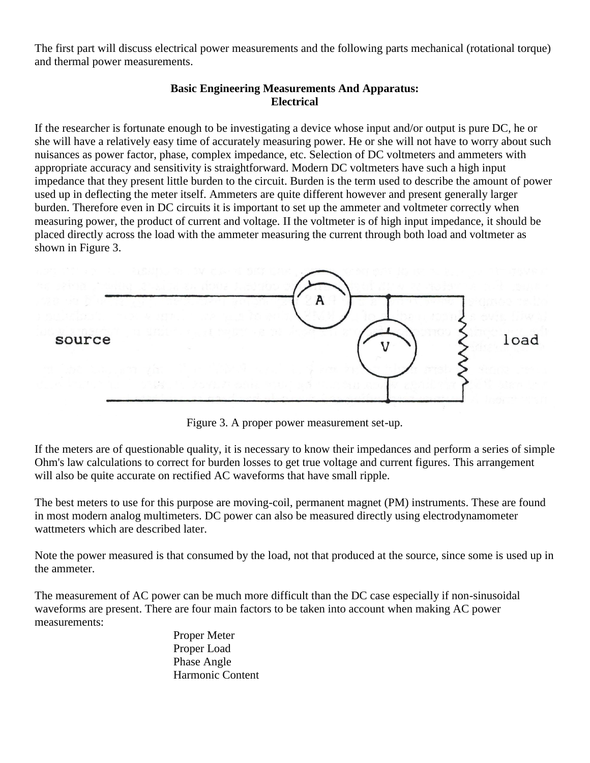The first part will discuss electrical power measurements and the following parts mechanical (rotational torque) and thermal power measurements.

#### **Basic Engineering Measurements And Apparatus: Electrical**

If the researcher is fortunate enough to be investigating a device whose input and/or output is pure DC, he or she will have a relatively easy time of accurately measuring power. He or she will not have to worry about such nuisances as power factor, phase, complex impedance, etc. Selection of DC voltmeters and ammeters with appropriate accuracy and sensitivity is straightforward. Modern DC voltmeters have such a high input impedance that they present little burden to the circuit. Burden is the term used to describe the amount of power used up in deflecting the meter itself. Ammeters are quite different however and present generally larger burden. Therefore even in DC circuits it is important to set up the ammeter and voltmeter correctly when measuring power, the product of current and voltage. II the voltmeter is of high input impedance, it should be placed directly across the load with the ammeter measuring the current through both load and voltmeter as shown in Figure 3.



Figure 3. A proper power measurement set-up.

If the meters are of questionable quality, it is necessary to know their impedances and perform a series of simple Ohm's law calculations to correct for burden losses to get true voltage and current figures. This arrangement will also be quite accurate on rectified AC waveforms that have small ripple.

The best meters to use for this purpose are moving-coil, permanent magnet (PM) instruments. These are found in most modern analog multimeters. DC power can also be measured directly using electrodynamometer wattmeters which are described later.

Note the power measured is that consumed by the load, not that produced at the source, since some is used up in the ammeter.

The measurement of AC power can be much more difficult than the DC case especially if non-sinusoidal waveforms are present. There are four main factors to be taken into account when making AC power measurements:

Proper Meter Proper Load Phase Angle Harmonic Content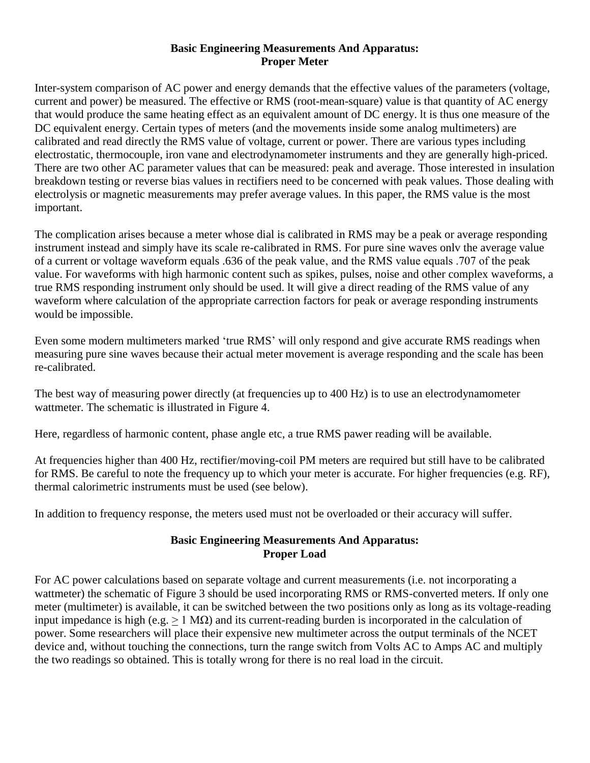## **Basic Engineering Measurements And Apparatus: Proper Meter**

Inter-system comparison of AC power and energy demands that the effective values of the parameters (voltage, current and power) be measured. The effective or RMS (root-mean-square) value is that quantity of AC energy that would produce the same heating effect as an equivalent amount of DC energy. lt is thus one measure of the DC equivalent energy. Certain types of meters (and the movements inside some analog multimeters) are calibrated and read directly the RMS value of voltage, current or power. There are various types including electrostatic, thermocouple, iron vane and electrodynamometer instruments and they are generally high-priced. There are two other AC parameter values that can be measured: peak and average. Those interested in insulation breakdown testing or reverse bias values in rectifiers need to be concerned with peak values. Those dealing with electrolysis or magnetic measurements may prefer average values. In this paper, the RMS value is the most important.

The complication arises because a meter whose dial is calibrated in RMS may be a peak or average responding instrument instead and simply have its scale re-calibrated in RMS. For pure sine waves onlv the average value of a current or voltage waveform equals .636 of the peak value' and the RMS value equals .707 of the peak value. For waveforms with high harmonic content such as spikes, pulses, noise and other complex waveforms, a true RMS responding instrument only should be used. lt will give a direct reading of the RMS value of any waveform where calculation of the appropriate carrection factors for peak or average responding instruments would be impossible.

Even some modern multimeters marked 'true RMS' will only respond and give accurate RMS readings when measuring pure sine waves because their actual meter movement is average responding and the scale has been re-calibrated.

The best way of measuring power directly (at frequencies up to 400 Hz) is to use an electrodynamometer wattmeter. The schematic is illustrated in Figure 4.

Here, regardless of harmonic content, phase angle etc, a true RMS pawer reading will be available.

At frequencies higher than 400 Hz, rectifier/moving-coil PM meters are required but still have to be calibrated for RMS. Be careful to note the frequency up to which your meter is accurate. For higher frequencies (e.g. RF), thermal calorimetric instruments must be used (see below).

In addition to frequency response, the meters used must not be overloaded or their accuracy will suffer.

# **Basic Engineering Measurements And Apparatus: Proper Load**

For AC power calculations based on separate voltage and current measurements (i.e. not incorporating a wattmeter) the schematic of Figure 3 should be used incorporating RMS or RMS-converted meters. If only one meter (multimeter) is available, it can be switched between the two positions only as long as its voltage-reading input impedance is high (e.g.  $> 1$  M $\Omega$ ) and its current-reading burden is incorporated in the calculation of power. Some researchers will place their expensive new multimeter across the output terminals of the NCET device and, without touching the connections, turn the range switch from Volts AC to Amps AC and multiply the two readings so obtained. This is totally wrong for there is no real load in the circuit.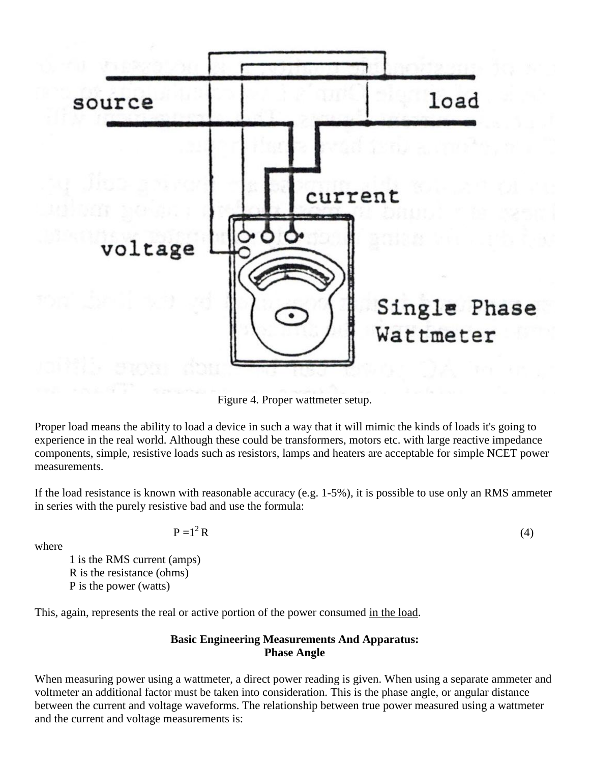

Figure 4. Proper wattmeter setup.

Proper load means the ability to load a device in such a way that it will mimic the kinds of loads it's going to experience in the real world. Although these could be transformers, motors etc. with large reactive impedance components, simple, resistive loads such as resistors, lamps and heaters are acceptable for simple NCET power measurements.

If the load resistance is known with reasonable accuracy (e.g. 1-5%), it is possible to use only an RMS ammeter in series with the purely resistive bad and use the formula:

where

$$
P = 1^2 R \tag{4}
$$

1 is the RMS current (amps) R is the resistance (ohms) P is the power (watts)

This, again, represents the real or active portion of the power consumed in the load.

## **Basic Engineering Measurements And Apparatus: Phase Angle**

When measuring power using a wattmeter, a direct power reading is given. When using a separate ammeter and voltmeter an additional factor must be taken into consideration. This is the phase angle, or angular distance between the current and voltage waveforms. The relationship between true power measured using a wattmeter and the current and voltage measurements is: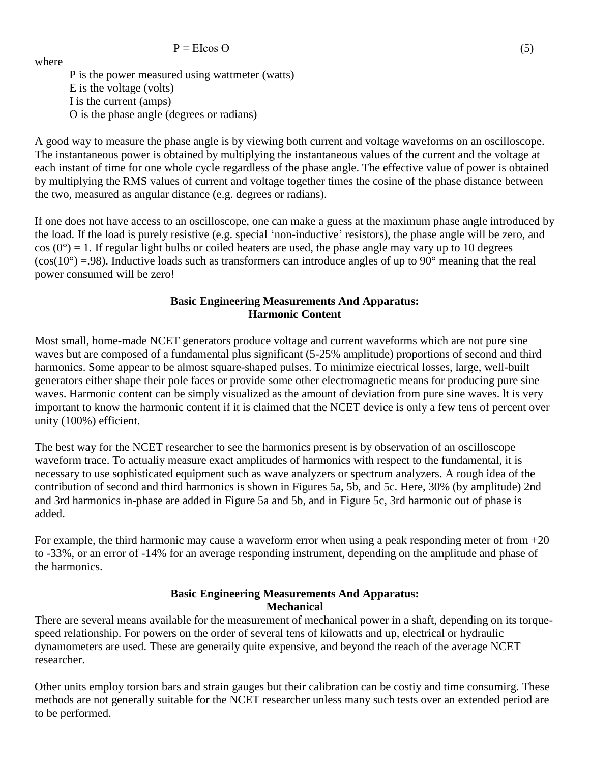## $P = E \cos \Theta$  (5)

where

P is the power measured using wattmeter (watts) E is the voltage (volts) I is the current (amps)  $\Theta$  is the phase angle (degrees or radians)

A good way to measure the phase angle is by viewing both current and voltage waveforms on an oscilloscope. The instantaneous power is obtained by multiplying the instantaneous values of the current and the voltage at each instant of time for one whole cycle regardless of the phase angle. The effective value of power is obtained by multiplying the RMS values of current and voltage together times the cosine of the phase distance between the two, measured as angular distance (e.g. degrees or radians).

If one does not have access to an oscilloscope, one can make a guess at the maximum phase angle introduced by the load. If the load is purely resistive (e.g. special 'non-inductive' resistors), the phase angle will be zero, and  $\cos(0^\circ) = 1$ . If regular light bulbs or coiled heaters are used, the phase angle may vary up to 10 degrees  $(cos(10^{\circ}) = .98)$ . Inductive loads such as transformers can introduce angles of up to 90° meaning that the real power consumed will be zero!

#### **Basic Engineering Measurements And Apparatus: Harmonic Content**

Most small, home-made NCET generators produce voltage and current waveforms which are not pure sine waves but are composed of a fundamental plus significant (5-25% amplitude) proportions of second and third harmonics. Some appear to be almost square-shaped pulses. To minimize eiectrical losses, large, well-built generators either shape their pole faces or provide some other electromagnetic means for producing pure sine waves. Harmonic content can be simply visualized as the amount of deviation from pure sine waves. lt is very important to know the harmonic content if it is claimed that the NCET device is only a few tens of percent over unity (100%) efficient.

The best way for the NCET researcher to see the harmonics present is by observation of an oscilloscope waveform trace. To actualiy measure exact amplitudes of harmonics with respect to the fundamental, it is necessary to use sophisticated equipment such as wave analyzers or spectrum analyzers. A rough idea of the contribution of second and third harmonics is shown in Figures 5a, 5b, and 5c. Here, 30% (by amplitude) 2nd and 3rd harmonics in-phase are added in Figure 5a and 5b, and in Figure 5c, 3rd harmonic out of phase is added.

For example, the third harmonic may cause a waveform error when using a peak responding meter of from  $+20$ to -33%, or an error of -14% for an average responding instrument, depending on the amplitude and phase of the harmonics.

## **Basic Engineering Measurements And Apparatus: Mechanical**

There are several means available for the measurement of mechanical power in a shaft, depending on its torquespeed relationship. For powers on the order of several tens of kilowatts and up, electrical or hydraulic dynamometers are used. These are generaily quite expensive, and beyond the reach of the average NCET researcher.

Other units employ torsion bars and strain gauges but their calibration can be costiy and time consumirg. These methods are not generally suitable for the NCET researcher unless many such tests over an extended period are to be performed.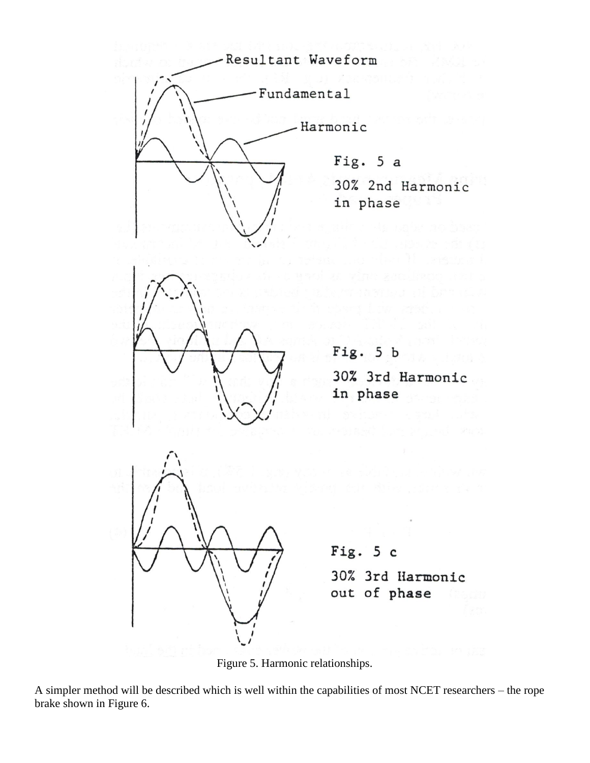



Fig. 5 b 30% 3rd Harmonic in phase



Fig.  $5c$ 30% 3rd Harmonic out of phase



A simpler method will be described which is well within the capabilities of most NCET researchers – the rope brake shown in Figure 6.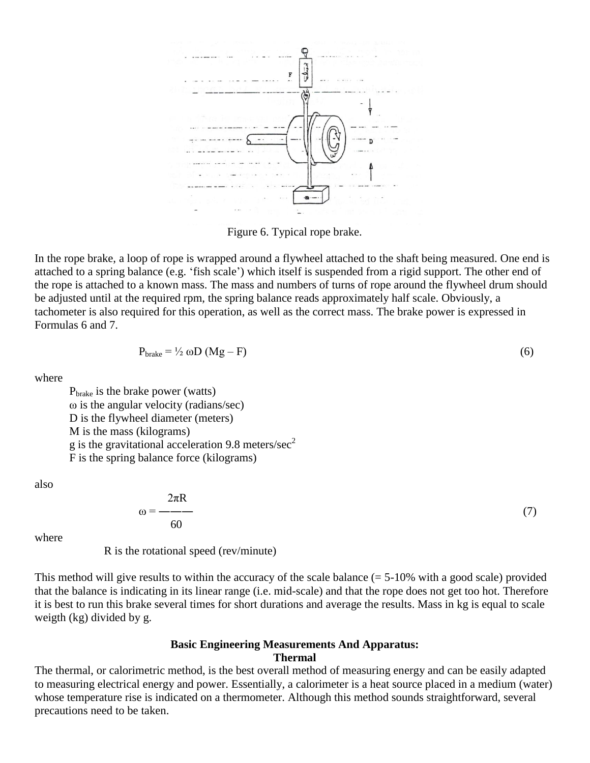

Figure 6. Typical rope brake.

In the rope brake, a loop of rope is wrapped around a flywheel attached to the shaft being measured. One end is attached to a spring balance (e.g. 'fish scale') which itself is suspended from a rigid support. The other end of the rope is attached to a known mass. The mass and numbers of turns of rope around the flywheel drum should be adjusted until at the required rpm, the spring balance reads approximately half scale. Obviously, a tachometer is also required for this operation, as well as the correct mass. The brake power is expressed in Formulas 6 and 7.

$$
P_{\text{brake}} = \frac{1}{2} \omega D (Mg - F) \tag{6}
$$

where

Pbrake is the brake power (watts) ω is the angular velocity (radians/sec) D is the flywheel diameter (meters) M is the mass (kilograms) g is the gravitational acceleration 9.8 meters/sec<sup>2</sup> F is the spring balance force (kilograms)

also

 $2\pi R$  $\omega =$  —— (7) 60

where

R is the rotational speed (rev/minute)

This method will give results to within the accuracy of the scale balance (= 5-10% with a good scale) provided that the balance is indicating in its linear range (i.e. mid-scale) and that the rope does not get too hot. Therefore it is best to run this brake several times for short durations and average the results. Mass in kg is equal to scale weigth (kg) divided by g.

#### **Basic Engineering Measurements And Apparatus: Thermal**

The thermal, or calorimetric method, is the best overall method of measuring energy and can be easily adapted to measuring electrical energy and power. Essentially, a calorimeter is a heat source placed in a medium (water) whose temperature rise is indicated on a thermometer. Although this method sounds straightforward, several precautions need to be taken.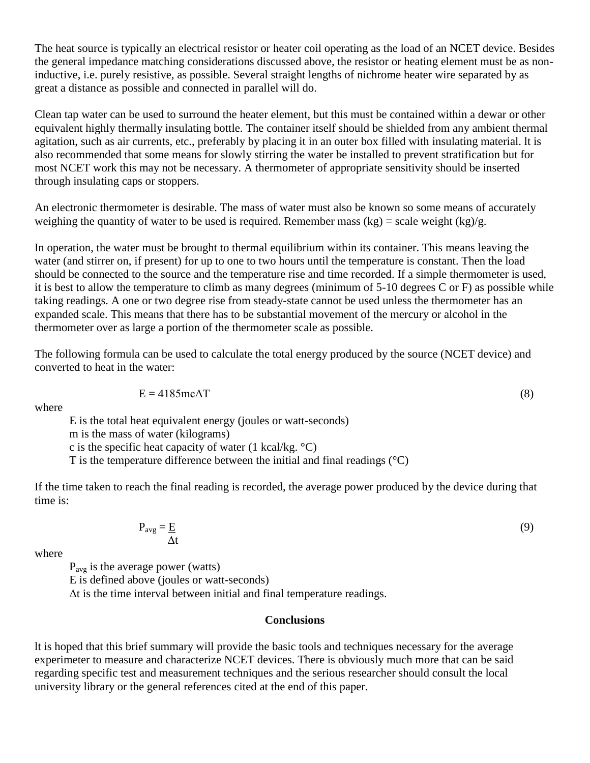The heat source is typically an electrical resistor or heater coil operating as the load of an NCET device. Besides the general impedance matching considerations discussed above, the resistor or heating element must be as noninductive, i.e. purely resistive, as possible. Several straight lengths of nichrome heater wire separated by as great a distance as possible and connected in parallel will do.

Clean tap water can be used to surround the heater element, but this must be contained within a dewar or other equivalent highly thermally insulating bottle. The container itself should be shielded from any ambient thermal agitation, such as air currents, etc., preferably by placing it in an outer box filled with insulating material. lt is also recommended that some means for slowly stirring the water be installed to prevent stratification but for most NCET work this may not be necessary. A thermometer of appropriate sensitivity should be inserted through insulating caps or stoppers.

An electronic thermometer is desirable. The mass of water must also be known so some means of accurately weighing the quantity of water to be used is required. Remember mass  $(kg)$  = scale weight  $(kg)/g$ .

In operation, the water must be brought to thermal equilibrium within its container. This means leaving the water (and stirrer on, if present) for up to one to two hours until the temperature is constant. Then the load should be connected to the source and the temperature rise and time recorded. If a simple thermometer is used, it is best to allow the temperature to climb as many degrees (minimum of 5-10 degrees C or F) as possible while taking readings. A one or two degree rise from steady-state cannot be used unless the thermometer has an expanded scale. This means that there has to be substantial movement of the mercury or alcohol in the thermometer over as large a portion of the thermometer scale as possible.

The following formula can be used to calculate the total energy produced by the source (NCET device) and converted to heat in the water:

where

$$
E = 4185 \text{mc} \Delta T \tag{8}
$$

E is the total heat equivalent energy (joules or watt-seconds) m is the mass of water (kilograms)

c is the specific heat capacity of water (1 kcal/kg.  $^{\circ}$ C)

T is the temperature difference between the initial and final readings  $({}^{\circ}C)$ 

If the time taken to reach the final reading is recorded, the average power produced by the device during that time is:

$$
P_{avg} = \underline{E} \tag{9}
$$

where

 $P_{\text{avg}}$  is the average power (watts) E is defined above (joules or watt-seconds)  $\Delta t$  is the time interval between initial and final temperature readings.

#### **Conclusions**

lt is hoped that this brief summary will provide the basic tools and techniques necessary for the average experimeter to measure and characterize NCET devices. There is obviously much more that can be said regarding specific test and measurement techniques and the serious researcher should consult the local university library or the general references cited at the end of this paper.